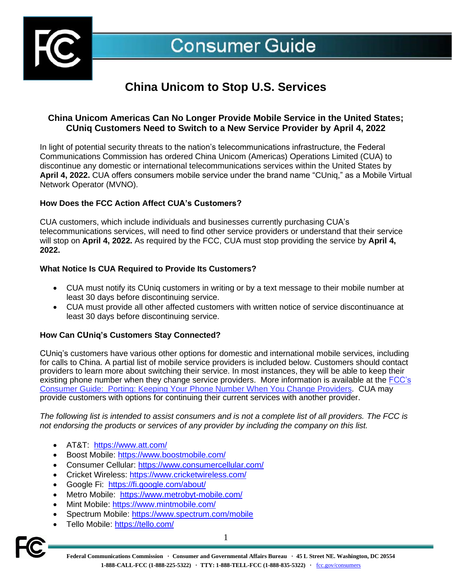

# **China Unicom to Stop U.S. Services**

## **China Unicom Americas Can No Longer Provide Mobile Service in the United States; CUniq Customers Need to Switch to a New Service Provider by April 4, 2022**

In light of potential security threats to the nation's telecommunications infrastructure, the Federal Communications Commission has ordered China Unicom (Americas) Operations Limited (CUA) to discontinue any domestic or international telecommunications services within the United States by **April 4, 2022.** CUA offers consumers mobile service under the brand name "CUniq," as a Mobile Virtual Network Operator (MVNO).

### **How Does the FCC Action Affect CUA's Customers?**

CUA customers, which include individuals and businesses currently purchasing CUA's telecommunications services, will need to find other service providers or understand that their service will stop on **April 4, 2022.** As required by the FCC, CUA must stop providing the service by **April 4, 2022.** 

### **What Notice Is CUA Required to Provide Its Customers?**

- CUA must notify its CUniq customers in writing or by a text message to their mobile number at least 30 days before discontinuing service.
- CUA must provide all other affected customers with written notice of service discontinuance at least 30 days before discontinuing service.

### **How Can CUniq's Customers Stay Connected?**

CUniq's customers have various other options for domestic and international mobile services, including for calls to China. A partial list of mobile service providers is included below. Customers should contact providers to learn more about switching their service. In most instances, they will be able to keep their existing phone number when they change service providers. More information is available at the FCC's [Consumer Guide: Porting: Keeping Your Phone Number When You Change Providers.](https://www.fcc.gov/consumers/guides/porting-keeping-your-phone-number-when-you-change-providers) CUA may provide customers with options for continuing their current services with another provider.

*The following list is intended to assist consumers and is not a complete list of all providers. The FCC is not endorsing the products or services of any provider by including the company on this list.* 

- AT&T: <https://www.att.com/>
- Boost Mobile:<https://www.boostmobile.com/>
- Consumer Cellular:<https://www.consumercellular.com/>
- Cricket Wireless:<https://www.cricketwireless.com/>
- Google Fi: [https://fi.google.com/about/](https://fi.google.com/about/?utm_medium=cpc&utm_source=bing&utm_campaign=dr-2021-evergreen&utm_content=q3-2021_hybrid:campaign_hybrid:device_bkws_exact_na_text_na_na_na)
- Metro Mobile: <https://www.metrobyt-mobile.com/>
- Mint Mobile:<https://www.mintmobile.com/>
- Spectrum Mobile:<https://www.spectrum.com/mobile>
- Tello Mobile:<https://tello.com/>